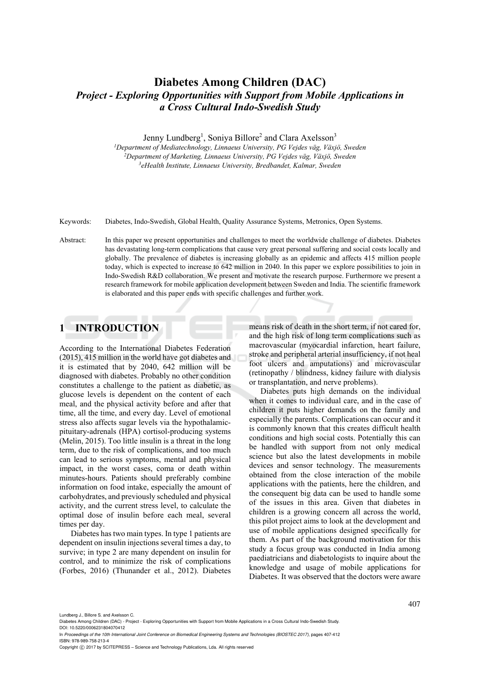# **Diabetes Among Children (DAC)**  *Project - Exploring Opportunities with Support from Mobile Applications in a Cross Cultural Indo-Swedish Study*

Jenny Lundberg<sup>1</sup>, Soniya Billore<sup>2</sup> and Clara Axelsson<sup>3</sup>

<sup>1</sup>Department of Mediatechnology, Linnaeus University, PG Vejdes väg, Växjö, Sweden<br><sup>2</sup>Department of Marketing, Linnaeus University, PG Vejdes väg, Växjö, Sweden<br><sup>3</sup>eHealth Institute, Linnaeus University, Bredbandet, Kalm

Keywords: Diabetes, Indo-Swedish, Global Health, Quality Assurance Systems, Metronics, Open Systems.

Abstract: In this paper we present opportunities and challenges to meet the worldwide challenge of diabetes. Diabetes has devastating long-term complications that cause very great personal suffering and social costs locally and globally. The prevalence of diabetes is increasing globally as an epidemic and affects 415 million people today, which is expected to increase to 642 million in 2040. In this paper we explore possibilities to join in Indo-Swedish R&D collaboration. We present and motivate the research purpose. Furthermore we present a research framework for mobile application development between Sweden and India. The scientific framework is elaborated and this paper ends with specific challenges and further work.

# **1 INTRODUCTION**

According to the International Diabetes Federation (2015), 415 million in the world have got diabetes and it is estimated that by 2040, 642 million will be diagnosed with diabetes. Probably no other condition constitutes a challenge to the patient as diabetic, as glucose levels is dependent on the content of each meal, and the physical activity before and after that time, all the time, and every day. Level of emotional stress also affects sugar levels via the hypothalamicpituitary-adrenals (HPA) cortisol-producing systems (Melin, 2015). Too little insulin is a threat in the long term, due to the risk of complications, and too much can lead to serious symptoms, mental and physical impact, in the worst cases, coma or death within minutes-hours. Patients should preferably combine information on food intake, especially the amount of carbohydrates, and previously scheduled and physical activity, and the current stress level, to calculate the optimal dose of insulin before each meal, several times per day.

Diabetes has two main types. In type 1 patients are dependent on insulin injections several times a day, to survive; in type 2 are many dependent on insulin for control, and to minimize the risk of complications (Forbes, 2016) (Thunander et al., 2012). Diabetes means risk of death in the short term, if not cared for, and the high risk of long term complications such as macrovascular (myocardial infarction, heart failure, stroke and peripheral arterial insufficiency, if not heal foot ulcers and amputations) and microvascular (retinopathy / blindness, kidney failure with dialysis or transplantation, and nerve problems).

Diabetes puts high demands on the individual when it comes to individual care, and in the case of children it puts higher demands on the family and especially the parents. Complications can occur and it is commonly known that this creates difficult health conditions and high social costs. Potentially this can be handled with support from not only medical science but also the latest developments in mobile devices and sensor technology. The measurements obtained from the close interaction of the mobile applications with the patients, here the children, and the consequent big data can be used to handle some of the issues in this area. Given that diabetes in children is a growing concern all across the world, this pilot project aims to look at the development and use of mobile applications designed specifically for them. As part of the background motivation for this study a focus group was conducted in India among paediatricians and diabetologists to inquire about the knowledge and usage of mobile applications for Diabetes. It was observed that the doctors were aware

Lundberg J., Billore S. and Axelsson C.

Diabetes Among Children (DAC) - Project - Exploring Opportunities with Support from Mobile Applications in a Cross Cultural Indo-Swedish Study. DOI: 10.5220/0006231804070412

In *Proceedings of the 10th International Joint Conference on Biomedical Engineering Systems and Technologies (BIOSTEC 2017)*, pages 407-412 ISBN: 978-989-758-213-4

Copyright (C) 2017 by SCITEPRESS - Science and Technology Publications, Lda. All rights reserved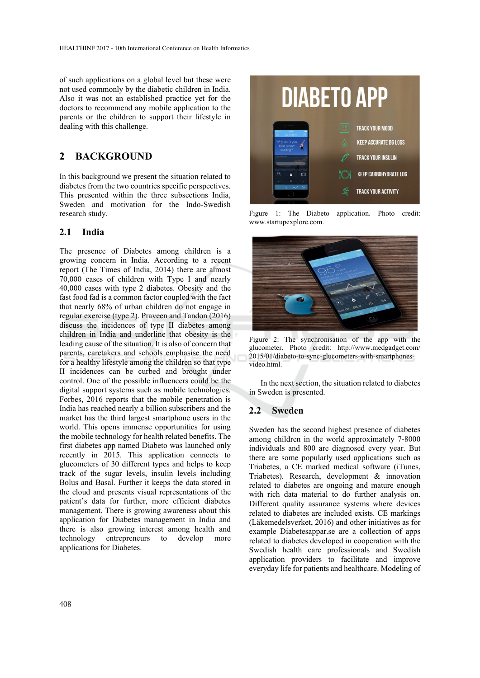of such applications on a global level but these were not used commonly by the diabetic children in India. Also it was not an established practice yet for the doctors to recommend any mobile application to the parents or the children to support their lifestyle in dealing with this challenge.

### **2 BACKGROUND**

In this background we present the situation related to diabetes from the two countries specific perspectives. This presented within the three subsections India, Sweden and motivation for the Indo-Swedish research study.

#### **2.1 India**

The presence of Diabetes among children is a growing concern in India. According to a recent report (The Times of India, 2014) there are almost 70,000 cases of children with Type I and nearly 40,000 cases with type 2 diabetes. Obesity and the fast food fad is a common factor coupled with the fact that nearly 68% of urban children do not engage in regular exercise (type 2). Praveen and Tandon (2016) discuss the incidences of type II diabetes among children in India and underline that obesity is the leading cause of the situation. It is also of concern that parents, caretakers and schools emphasise the need for a healthy lifestyle among the children so that type II incidences can be curbed and brought under control. One of the possible influencers could be the digital support systems such as mobile technologies. Forbes, 2016 reports that the mobile penetration is India has reached nearly a billion subscribers and the market has the third largest smartphone users in the world. This opens immense opportunities for using the mobile technology for health related benefits. The first diabetes app named Diabeto was launched only recently in 2015. This application connects to glucometers of 30 different types and helps to keep track of the sugar levels, insulin levels including Bolus and Basal. Further it keeps the data stored in the cloud and presents visual representations of the patient's data for further, more efficient diabetes management. There is growing awareness about this application for Diabetes management in India and there is also growing interest among health and technology entrepreneurs to develop more applications for Diabetes.



Figure 1: The Diabeto application. Photo credit: www.startupexplore.com.



Figure 2: The synchronisation of the app with the glucometer. Photo credit: http://www.medgadget.com/ 2015/01/diabeto-to-sync-glucometers-with-smartphonesvideo.html.

In the next section, the situation related to diabetes in Sweden is presented.

#### **2.2 Sweden**

Sweden has the second highest presence of diabetes among children in the world approximately 7-8000 individuals and 800 are diagnosed every year. But there are some popularly used applications such as Triabetes, a CE marked medical software (iTunes, Triabetes). Research, development & innovation related to diabetes are ongoing and mature enough with rich data material to do further analysis on. Different quality assurance systems where devices related to diabetes are included exists. CE markings (Läkemedelsverket, 2016) and other initiatives as for example Diabetesappar.se are a collection of apps related to diabetes developed in cooperation with the Swedish health care professionals and Swedish application providers to facilitate and improve everyday life for patients and healthcare. Modeling of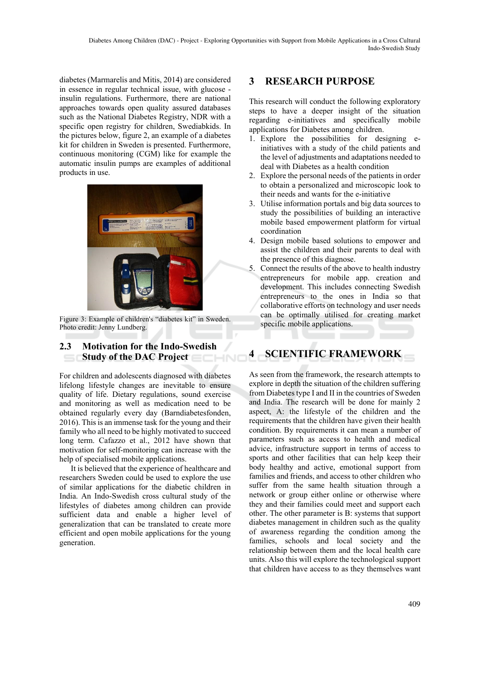diabetes (Marmarelis and Mitis, 2014) are considered in essence in regular technical issue, with glucose insulin regulations. Furthermore, there are national approaches towards open quality assured databases such as the National Diabetes Registry, NDR with a specific open registry for children, Swediabkids. In the pictures below, figure 2, an example of a diabetes kit for children in Sweden is presented. Furthermore, continuous monitoring (CGM) like for example the automatic insulin pumps are examples of additional products in use.



Figure 3: Example of children's "diabetes kit" in Sweden. Photo credit: Jenny Lundberg.

### **2.3 Motivation for the Indo-Swedish Study of the DAC Project**

For children and adolescents diagnosed with diabetes lifelong lifestyle changes are inevitable to ensure quality of life. Dietary regulations, sound exercise and monitoring as well as medication need to be obtained regularly every day (Barndiabetesfonden, 2016). This is an immense task for the young and their family who all need to be highly motivated to succeed long term. Cafazzo et al., 2012 have shown that motivation for self-monitoring can increase with the help of specialised mobile applications.

It is believed that the experience of healthcare and researchers Sweden could be used to explore the use of similar applications for the diabetic children in India. An Indo-Swedish cross cultural study of the lifestyles of diabetes among children can provide sufficient data and enable a higher level of generalization that can be translated to create more efficient and open mobile applications for the young generation.

# **3 RESEARCH PURPOSE**

This research will conduct the following exploratory steps to have a deeper insight of the situation regarding e-initiatives and specifically mobile applications for Diabetes among children.

- 1. Explore the possibilities for designing einitiatives with a study of the child patients and the level of adjustments and adaptations needed to deal with Diabetes as a health condition
- 2. Explore the personal needs of the patients in order to obtain a personalized and microscopic look to their needs and wants for the e-initiative
- 3. Utilise information portals and big data sources to study the possibilities of building an interactive mobile based empowerment platform for virtual coordination
- 4. Design mobile based solutions to empower and assist the children and their parents to deal with the presence of this diagnose.
- 5. Connect the results of the above to health industry entrepreneurs for mobile app. creation and development. This includes connecting Swedish entrepreneurs to the ones in India so that collaborative efforts on technology and user needs can be optimally utilised for creating market specific mobile applications.

# **4 SCIENTIFIC FRAMEWORK**

As seen from the framework, the research attempts to explore in depth the situation of the children suffering from Diabetes type I and II in the countries of Sweden and India. The research will be done for mainly 2 aspect, A: the lifestyle of the children and the requirements that the children have given their health condition. By requirements it can mean a number of parameters such as access to health and medical advice, infrastructure support in terms of access to sports and other facilities that can help keep their body healthy and active, emotional support from families and friends, and access to other children who suffer from the same health situation through a network or group either online or otherwise where they and their families could meet and support each other. The other parameter is B: systems that support diabetes management in children such as the quality of awareness regarding the condition among the families, schools and local society and the relationship between them and the local health care units. Also this will explore the technological support that children have access to as they themselves want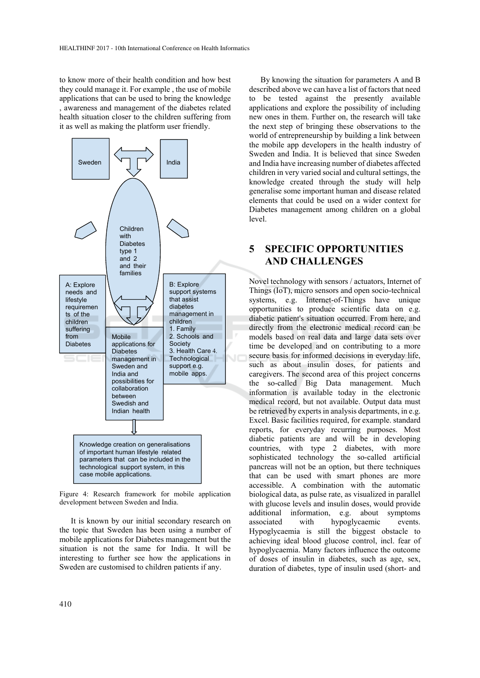to know more of their health condition and how best they could manage it. For example , the use of mobile applications that can be used to bring the knowledge , awareness and management of the diabetes related health situation closer to the children suffering from it as well as making the platform user friendly.



Figure 4: Research framework for mobile application development between Sweden and India.

It is known by our initial secondary research on the topic that Sweden has been using a number of mobile applications for Diabetes management but the situation is not the same for India. It will be interesting to further see how the applications in Sweden are customised to children patients if any.

By knowing the situation for parameters A and B described above we can have a list of factors that need to be tested against the presently available applications and explore the possibility of including new ones in them. Further on, the research will take the next step of bringing these observations to the world of entrepreneurship by building a link between the mobile app developers in the health industry of Sweden and India. It is believed that since Sweden and India have increasing number of diabetes affected children in very varied social and cultural settings, the knowledge created through the study will help generalise some important human and disease related elements that could be used on a wider context for Diabetes management among children on a global level.

# **5 SPECIFIC OPPORTUNITIES AND CHALLENGES**

Novel technology with sensors / actuators, Internet of Things (IoT), micro sensors and open socio-technical systems, e.g. Internet-of-Things have unique opportunities to produce scientific data on e.g. diabetic patient's situation occurred. From here, and directly from the electronic medical record can be models based on real data and large data sets over time be developed and on contributing to a more secure basis for informed decisions in everyday life, such as about insulin doses, for patients and caregivers. The second area of this project concerns the so-called Big Data management. Much information is available today in the electronic medical record, but not available. Output data must be retrieved by experts in analysis departments, in e.g. Excel. Basic facilities required, for example. standard reports, for everyday recurring purposes. Most diabetic patients are and will be in developing countries, with type 2 diabetes, with more sophisticated technology the so-called artificial pancreas will not be an option, but there techniques that can be used with smart phones are more accessible. A combination with the automatic biological data, as pulse rate, as visualized in parallel with glucose levels and insulin doses, would provide additional information, e.g. about symptoms associated with hypoglycaemic events. Hypoglycaemia is still the biggest obstacle to achieving ideal blood glucose control, incl. fear of hypoglycaemia. Many factors influence the outcome of doses of insulin in diabetes, such as age, sex, duration of diabetes, type of insulin used (short- and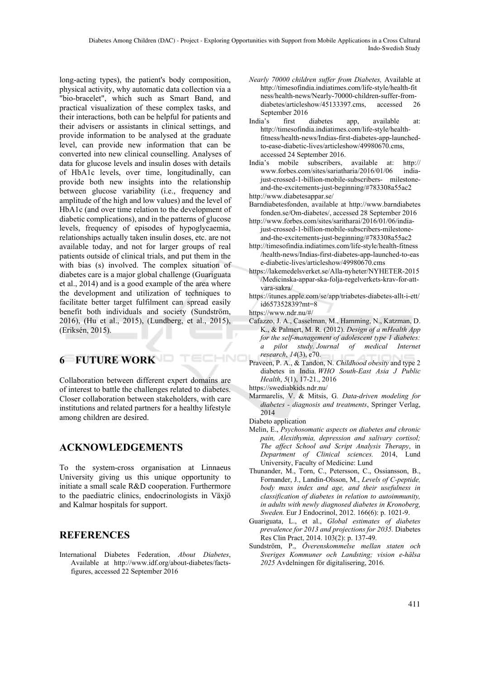long-acting types), the patient's body composition, physical activity, why automatic data collection via a "bio-bracelet", which such as Smart Band, and practical visualization of these complex tasks, and their interactions, both can be helpful for patients and their advisers or assistants in clinical settings, and provide information to be analysed at the graduate level, can provide new information that can be converted into new clinical counselling. Analyses of data for glucose levels and insulin doses with details of HbA1c levels, over time, longitudinally, can provide both new insights into the relationship between glucose variability (i.e., frequency and amplitude of the high and low values) and the level of HbA1c (and over time relation to the development of diabetic complications), and in the patterns of glucose levels, frequency of episodes of hypoglycaemia, relationships actually taken insulin doses, etc. are not available today, and not for larger groups of real patients outside of clinical trials, and put them in the with bias (s) involved. The complex situation of diabetes care is a major global challenge (Guariguata et al., 2014) and is a good example of the area where the development and utilization of techniques to facilitate better target fulfilment can spread easily benefit both individuals and society (Sundström, 2016), (Hu et al., 2015), (Lundberg, et al., 2015), (Eriksén, 2015).

# **6 FUTURE WORK**

Collaboration between different expert domains are of interest to battle the challenges related to diabetes. Closer collaboration between stakeholders, with care institutions and related partners for a healthy lifestyle among children are desired.

# **ACKNOWLEDGEMENTS**

To the system-cross organisation at Linnaeus University giving us this unique opportunity to initiate a small scale R&D cooperation. Furthermore to the paediatric clinics, endocrinologists in Växjö and Kalmar hospitals for support.

# **REFERENCES**

International Diabetes Federation, *About Diabetes*, Available at http://www.idf.org/about-diabetes/factsfigures, accessed 22 September 2016

- *Nearly 70000 children suffer from Diabetes,* Available at http://timesofindia.indiatimes.com/life-style/health-fit ness/health-news/Nearly-70000-children-suffer-fromdiabetes/articleshow/45133397.cms, accessed 26 September 2016
- India's first diabetes app, available at: http://timesofindia.indiatimes.com/life-style/healthfitness/health-news/Indias-first-diabetes-app-launchedto-ease-diabetic-lives/articleshow/49980670.cms, accessed 24 September 2016.
- India's mobile subscribers, available at: http:// www.forbes.com/sites/sariatharia/2016/01/06 indiajust-crossed-1-billion-mobile-subscribers- milestoneand-the-excitements-just-beginning/#783308a55ac2
- http://www.diabetesappar.se/
- Barndiabetesfonden, available at http://www.barndiabetes fonden.se/Om-diabetes/, accessed 28 September 2016
- http://www.forbes.com/sites/saritharai/2016/01/06/indiajust-crossed-1-billion-mobile-subscribers-milestoneand-the-excitements-just-beginning/#783308a55ac2
- http://timesofindia.indiatimes.com/life-style/health-fitness /health-news/Indias-first-diabetes-app-launched-to-eas e-diabetic-lives/articleshow/49980670.cms
- https://lakemedelsverket.se/Alla-nyheter/NYHETER-2015 /Medicinska-appar-ska-folja-regelverkets-krav-for-attvara-sakra/
- https://itunes.apple.com/se/app/triabetes-diabetes-allt-i-ett/ id657352839?mt=8
- https://www.ndr.nu/#/

ECHNO

- Cafazzo, J. A., Casselman, M., Hamming, N., Katzman, D. K., & Palmert, M. R. (2012). *Design of a mHealth App for the self-management of adolescent type 1 diabetes: a pilot study. Journal of medical Internet research*, *14*(3), e70.
- Praveen, P. A., & Tandon, N. *Childhood obesity* and type 2 diabetes in India. *WHO South-East Asia J Public Health*, *5*(1), 17-21., 2016
- https://swediabkids.ndr.nu/
- Marmarelis, V. & Mitsis, G*. Data-driven modeling for diabetes - diagnosis and treatments*, Springer Verlag, 2014
- Diabeto application
- Melin, E., *Psychosomatic aspects on diabetes and chronic pain, Alexithymia, depression and salivary cortisol; The affect School and Script Analysis Therapy*, in *Department of Clinical sciences.* 2014, Lund University, Faculty of Medicine: Lund
- Thunander, M., Torn, C., Petersson, C., Ossiansson, B., Fornander, J., Landin-Olsson, M., *Levels of C-peptide, body mass index and age, and their usefulness in classification of diabetes in relation to autoimmunity, in adults with newly diagnosed diabetes in Kronoberg, Sweden.* Eur J Endocrinol, 2012. 166(6): p. 1021-9.
- Guariguata, L., et al., *Global estimates of diabetes prevalence for 2013 and projections for 2035.* Diabetes Res Clin Pract, 2014. 103(2): p. 137-49.
- Sundström, P., *Överenskommelse mellan staten och Sveriges Kommuner och Landsting; vision e-hälsa 2025* Avdelningen för digitalisering, 2016.